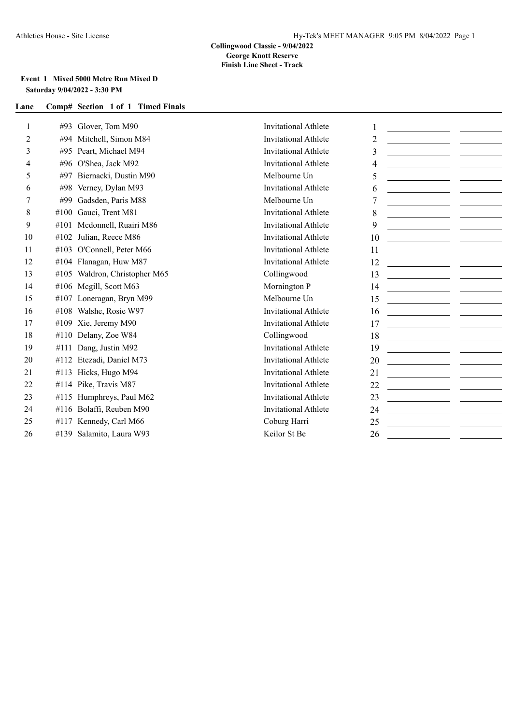### **Event 1 Mixed 5000 Metre Run Mixed D Saturday 9/04/2022 - 3:30 PM**

| 1  | #93  | Glover, Tom M90               | <b>Invitational Athlete</b> | 1<br><u> 1989 - Johann Harry Barn, mars and de Branch and de Branch and de Branch and de Branch and de Branch and de B</u>  |
|----|------|-------------------------------|-----------------------------|-----------------------------------------------------------------------------------------------------------------------------|
| 2  | #94  | Mitchell, Simon M84           | <b>Invitational Athlete</b> | $\overline{2}$<br><u> 1990 - Johann Barbara, martin a</u>                                                                   |
| 3  | #95  | Peart, Michael M94            | <b>Invitational Athlete</b> | 3<br><u> 1989 - Johann Barbara, martxa a shekara 1980 - An tsa a shekara 1981 - An tsa a shekara 1981 - An tsa a sheka</u>  |
| 4  | #96  | O'Shea, Jack M92              | <b>Invitational Athlete</b> | 4<br><u> 1980 - Johann Barbara, martin a</u>                                                                                |
| 5  | #97  | Biernacki, Dustin M90         | Melbourne Un                | 5                                                                                                                           |
| 6  | #98  | Verney, Dylan M93             | <b>Invitational Athlete</b> | 6<br><u> 1980 - Andrea Maria Alemania, prima a prima a prima a prima a prima a prima a prima a prima a prima a prima</u>    |
| 7  | #99  | Gadsden, Paris M88            | Melbourne Un                | <u> 1990 - Johann John Stone, mars et al. 1990 - John Stone, mars et al. 1990 - John Stone, mars et al. 1990 - Joh</u>      |
| 8  | #100 | Gauci, Trent M81              | <b>Invitational Athlete</b> | 8                                                                                                                           |
| 9  | #101 | Mcdonnell, Ruairi M86         | <b>Invitational Athlete</b> | 9<br><u> 1989 - Johann Marie Barn, mars eta idazlear</u>                                                                    |
| 10 | #102 | Julian, Reece M86             | <b>Invitational Athlete</b> | 10                                                                                                                          |
| 11 | #103 | O'Connell, Peter M66          | <b>Invitational Athlete</b> | 11                                                                                                                          |
| 12 |      | #104 Flanagan, Huw M87        | Invitational Athlete        | 12                                                                                                                          |
| 13 |      | #105 Waldron, Christopher M65 | Collingwood                 | 13                                                                                                                          |
| 14 |      | #106 Megill, Scott M63        | Mornington P                | 14<br><u> 1980 - Jan Barbara (h. 1980).</u><br>1900 - Johann Barbara, frantziar martxar (h. 1900).                          |
| 15 | #107 | Loneragan, Bryn M99           | Melbourne Un                | 15                                                                                                                          |
| 16 | #108 | Walshe, Rosie W97             | <b>Invitational Athlete</b> | 16                                                                                                                          |
| 17 | #109 | Xie, Jeremy M90               | <b>Invitational Athlete</b> | 17                                                                                                                          |
| 18 | #110 | Delany, Zoe W84               | Collingwood                 | 18                                                                                                                          |
| 19 | #111 | Dang, Justin M92              | <b>Invitational Athlete</b> | 19<br><u> 1990 - Johann Marie Barn, mars and de Branch and de Branch and de Branch and de Branch and de Branch and de B</u> |
| 20 | #112 | Etezadi, Daniel M73           | <b>Invitational Athlete</b> | 20                                                                                                                          |
| 21 | #113 | Hicks, Hugo M94               | Invitational Athlete        | 21                                                                                                                          |
| 22 | #114 | Pike, Travis M87              | <b>Invitational Athlete</b> | 22                                                                                                                          |
| 23 | #115 | Humphreys, Paul M62           | <b>Invitational Athlete</b> | 23                                                                                                                          |
| 24 | #116 | Bolaffi, Reuben M90           | <b>Invitational Athlete</b> | 24                                                                                                                          |
| 25 | #117 | Kennedy, Carl M66             | Coburg Harri                | 25                                                                                                                          |
| 26 |      | #139 Salamito, Laura W93      | Keilor St Be                | 26                                                                                                                          |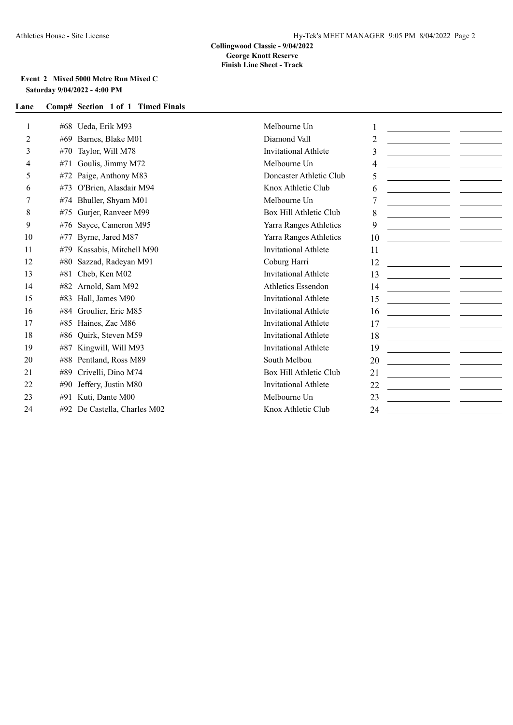### **Event 2 Mixed 5000 Metre Run Mixed C Saturday 9/04/2022 - 4:00 PM**

| 1  | Ueda, Erik M93<br>#68           | Melbourne Un                | <u> 1989 - Johann Barbara, martin a</u>                                     |
|----|---------------------------------|-----------------------------|-----------------------------------------------------------------------------|
| 2  | Barnes, Blake M01<br>#69        | Diamond Vall                | 2                                                                           |
| 3  | Taylor, Will M78<br>#70         | <b>Invitational Athlete</b> | 3                                                                           |
| 4  | Goulis, Jimmy M72<br>#71        | Melbourne Un                | 4                                                                           |
| 5  | Paige, Anthony M83<br>#72       | Doncaster Athletic Club     | 5<br><u> 1990 - Johann Barbara, martxa alemani</u> a                        |
| 6  | O'Brien, Alasdair M94<br>#73    | Knox Athletic Club          | 6<br><u> 1980 - Jan Jawa Barat, masjid a shekara t</u>                      |
| 7  | Bhuller, Shyam M01<br>#74       | Melbourne Un                | 7<br><u> 1989 - Johann Barn, mars et al. (</u> † 1920)                      |
| 8  | Gurjer, Ranveer M99<br>#75      | Box Hill Athletic Club      | 8                                                                           |
| 9  | Sayce, Cameron M95<br>#76       | Yarra Ranges Athletics      | 9<br><u> 1990 - Johann John Stone, markin samti sonale oli</u>              |
| 10 | Byrne, Jared M87<br>#77         | Yarra Ranges Athletics      | 10                                                                          |
| 11 | Kassabis, Mitchell M90<br>#79   | <b>Invitational Athlete</b> | 11<br><u> 1990 - Johann Marie Barn, mars an t-Amerikaansk konst</u>         |
| 12 | Sazzad, Radeyan M91<br>#80      | Coburg Harri                | 12                                                                          |
| 13 | Cheb, Ken M02<br>#81            | Invitational Athlete        | 13                                                                          |
| 14 | Arnold, Sam M92<br>#82          | <b>Athletics Essendon</b>   | 14                                                                          |
| 15 | Hall, James M90<br>#83          | <b>Invitational Athlete</b> | 15                                                                          |
| 16 | Groulier, Eric M85<br>#84       | <b>Invitational Athlete</b> | 16                                                                          |
| 17 | Haines, Zac M86<br>#85          | <b>Invitational Athlete</b> | 17                                                                          |
| 18 | Quirk, Steven M59<br>#86        | <b>Invitational Athlete</b> | 18                                                                          |
| 19 | Kingwill, Will M93<br>#87       | <b>Invitational Athlete</b> | 19                                                                          |
| 20 | Pentland, Ross M89<br>#88       | South Melbou                | 20<br>the control of the control of the control of                          |
| 21 | Crivelli, Dino M74<br>#89       | Box Hill Athletic Club      | 21<br><u> 1989 - Andrea Britain, amerikan per</u>                           |
| 22 | Jeffery, Justin M80<br>#90      | <b>Invitational Athlete</b> | 22<br><u> 1989 - Johann Marie Barn, mars an t-Amerikaansk kommunister (</u> |
| 23 | Kuti, Dante M00<br>#91          | Melbourne Un                | 23                                                                          |
| 24 | De Castella, Charles M02<br>#92 | Knox Athletic Club          | 24<br>the control of the control of the control of the                      |
|    |                                 |                             |                                                                             |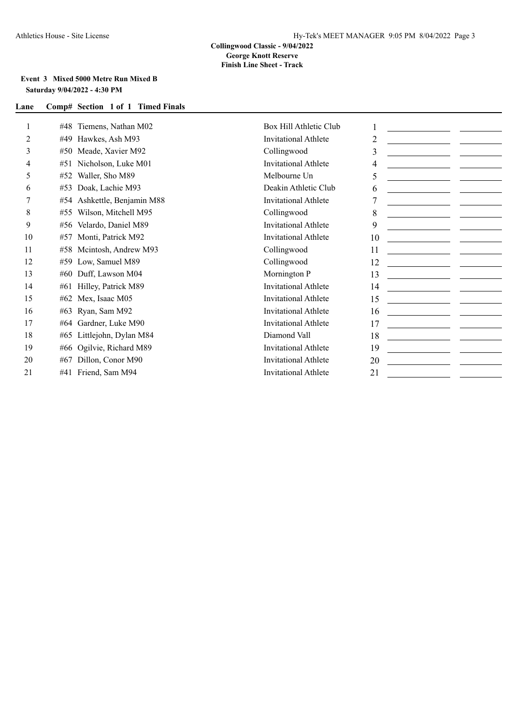### **Event 3 Mixed 5000 Metre Run Mixed B Saturday 9/04/2022 - 4:30 PM**

|    | Tiemens, Nathan M02<br>#48     | Box Hill Athletic Club |                                                                                                                                                                                                                                            |  |
|----|--------------------------------|------------------------|--------------------------------------------------------------------------------------------------------------------------------------------------------------------------------------------------------------------------------------------|--|
| 2  | Hawkes, Ash M93<br>#49         | Invitational Athlete   | 2                                                                                                                                                                                                                                          |  |
| 3  | Meade, Xavier M92<br>#50       | Collingwood            | 3                                                                                                                                                                                                                                          |  |
| 4  | Nicholson, Luke M01<br>#51     | Invitational Athlete   | 4                                                                                                                                                                                                                                          |  |
| 5  | Waller, Sho M89<br>#52         | Melbourne Un           | 5<br><u> 1990 - Johann John Stone, markin samti samti samti samti samti samti samti samti samti samti samti samti sa</u>                                                                                                                   |  |
| 6  | Doak, Lachie M93<br>#53        | Deakin Athletic Club   | 6                                                                                                                                                                                                                                          |  |
|    | Ashkettle, Benjamin M88<br>#54 | Invitational Athlete   | <u> 1980 - Andrea Andrew Maria (b. 1980)</u>                                                                                                                                                                                               |  |
| 8  | Wilson, Mitchell M95<br>#55    | Collingwood            | 8                                                                                                                                                                                                                                          |  |
| 9  | Velardo, Daniel M89<br>#56     | Invitational Athlete   | 9<br><u> 1989 - Johann Marie Barn, mars an t-Amerikaansk kommunister (</u>                                                                                                                                                                 |  |
| 10 | Monti, Patrick M92<br>#57      | Invitational Athlete   | 10<br><u> 1990 - Johann Harry Harry Harry Harry Harry Harry Harry Harry Harry Harry Harry Harry Harry Harry Harry Harry Harry Harry Harry Harry Harry Harry Harry Harry Harry Harry Harry Harry Harry Harry Harry Harry Harry Harry Ha</u> |  |
| 11 | Mcintosh, Andrew M93<br>#58    | Collingwood            | 11<br><u> Alexandria (Alexandria)</u>                                                                                                                                                                                                      |  |
| 12 | Low, Samuel M89<br>#59         | Collingwood            | 12<br><u> Albanya (Albanya) (Albanya) (Albanya) (Albanya) (Albanya) (Albanya) (Albanya) (Albanya) (Albanya) (Albanya) (Albanya) (Albanya) (Albanya) (Albanya) (Albanya) (Albanya) (Albanya) (Albanya) (Albanya) (Albanya) (Albanya) (A</u> |  |
| 13 | Duff, Lawson M04<br>#60        | Mornington P           | 13                                                                                                                                                                                                                                         |  |
| 14 | Hilley, Patrick M89<br>#61     | Invitational Athlete   | 14                                                                                                                                                                                                                                         |  |
| 15 | Mex, Isaac M05<br>#62          | Invitational Athlete   | 15<br><u> Albanya (Albanya) (Albanya)</u>                                                                                                                                                                                                  |  |
| 16 | Ryan, Sam M92<br>#63           | Invitational Athlete   | 16<br><u> 1980 - Jan Stein Stein Stein Stein Stein Stein Stein Stein Stein Stein Stein Stein Stein Stein Stein Stein Stein Stein Stein Stein Stein Stein Stein Stein Stein Stein Stein Stein Stein Stein Stein Stein Stein Stein Stein</u> |  |
| 17 | Gardner, Luke M90<br>#64       | Invitational Athlete   | 17                                                                                                                                                                                                                                         |  |
| 18 | Littlejohn, Dylan M84<br>#65   | Diamond Vall           | 18                                                                                                                                                                                                                                         |  |
| 19 | #66 Ogilvie, Richard M89       | Invitational Athlete   | 19<br><u> 1989 - Johann Barbara, martxa a shekara 1980 - An Dùbhlachd ann an Aonaichte ann an Aonaichte ann an Aonaich</u>                                                                                                                 |  |
| 20 | Dillon, Conor M90<br>#67       | Invitational Athlete   | 20<br>the control of the control of the control of                                                                                                                                                                                         |  |
| 21 | #41 Friend, Sam M94            | Invitational Athlete   | 21                                                                                                                                                                                                                                         |  |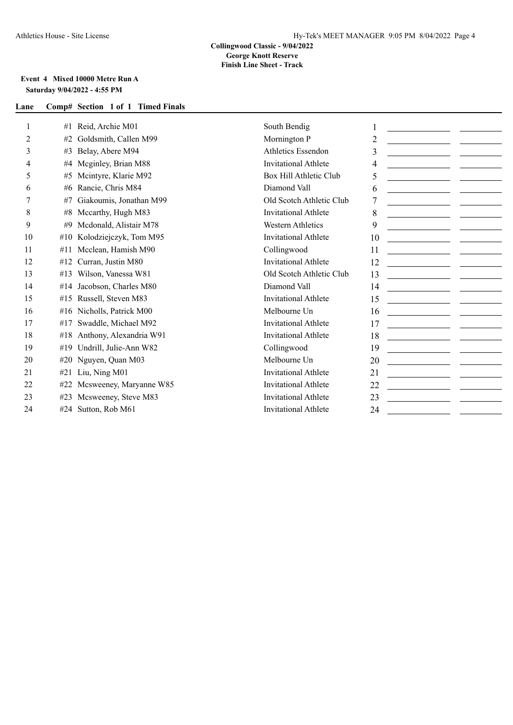#### **Collingwood Classic - 9/04/2022 George Knott Reserve Finish Line Sheet - Track**

## **Event 4 Mixed 10000 Metre Run A Saturday 9/04/2022 - 4:55 PM**

|                | #1  | Reid, Archie M01            | South Bendig                | <u> 1990 - Johann Barbara, martxa alemaniar a</u>                                                                           |                                                                            |
|----------------|-----|-----------------------------|-----------------------------|-----------------------------------------------------------------------------------------------------------------------------|----------------------------------------------------------------------------|
| $\overline{2}$ | #2  | Goldsmith, Callen M99       | Mornington P                | $\overline{2}$                                                                                                              |                                                                            |
| 3              | #3  | Belay, Abere M94            | <b>Athletics Essendon</b>   | 3<br><u> 1989 - Andrea State Barbara, amerikan per</u>                                                                      |                                                                            |
| 4              | #4  | Meginley, Brian M88         | <b>Invitational Athlete</b> | 4                                                                                                                           |                                                                            |
| 5              | #5  | Mcintyre, Klarie M92        | Box Hill Athletic Club      | 5                                                                                                                           |                                                                            |
| 6              | #6  | Rancie, Chris M84           | Diamond Vall                | 6                                                                                                                           | <u> 1990 - Johann Marie Barn, mars ar breist fan de Fryske kommunent (</u> |
| 7              | #7  | Giakoumis, Jonathan M99     | Old Scotch Athletic Club    |                                                                                                                             |                                                                            |
| 8              | #8  | Mccarthy, Hugh M83          | <b>Invitational Athlete</b> | 8                                                                                                                           |                                                                            |
| 9              | #9  | Mcdonald, Alistair M78      | <b>Western Athletics</b>    | 9                                                                                                                           |                                                                            |
| 10             | #10 | Kolodziejczyk, Tom M95      | <b>Invitational Athlete</b> | 10                                                                                                                          |                                                                            |
| 11             | #11 | Mcclean, Hamish M90         | Collingwood                 | 11                                                                                                                          |                                                                            |
| 12             |     | $#12$ Curran, Justin M80    | <b>Invitational Athlete</b> | 12                                                                                                                          |                                                                            |
| 13             |     | #13 Wilson, Vanessa W81     | Old Scotch Athletic Club    | 13                                                                                                                          |                                                                            |
| 14             |     | #14 Jacobson, Charles M80   | Diamond Vall                | 14<br><u> 1999 - Johann Barbara, martxa eta politikar</u>                                                                   |                                                                            |
| 15             | #15 | Russell, Steven M83         | <b>Invitational Athlete</b> | 15                                                                                                                          |                                                                            |
| 16             |     | #16 Nicholls, Patrick M00   | Melbourne Un                | 16<br><u> 1990 - Jan Barbara (h. 1980).</u><br>Digwyddiadau a cyfeiriadau (h. 1900).                                        |                                                                            |
| 17             | #17 | Swaddle, Michael M92        | <b>Invitational Athlete</b> | 17                                                                                                                          |                                                                            |
| 18             |     | #18 Anthony, Alexandria W91 | <b>Invitational Athlete</b> | 18<br><u> 1990 - Johann Harry Harry Harry Harry Harry Harry Harry Harry Harry Harry Harry Harry Harry Harry Harry Harry</u> |                                                                            |
| 19             |     | #19 Undrill, Julie-Ann W82  | Collingwood                 | 19                                                                                                                          |                                                                            |
| 20             |     | #20 Nguyen, Quan M03        | Melbourne Un                | 20                                                                                                                          |                                                                            |
| 21             |     | #21 Liu, Ning M01           | <b>Invitational Athlete</b> | 21                                                                                                                          |                                                                            |
| 22             |     | #22 Mcsweeney, Maryanne W85 | <b>Invitational Athlete</b> | 22                                                                                                                          |                                                                            |
| 23             |     | #23 Mcsweeney, Steve M83    | <b>Invitational Athlete</b> | 23                                                                                                                          |                                                                            |
| 24             |     | #24 Sutton, Rob M61         | <b>Invitational Athlete</b> | 24                                                                                                                          | <u> 1989 - Jan Barnett, fransk politiker (</u>                             |
|                |     |                             |                             |                                                                                                                             |                                                                            |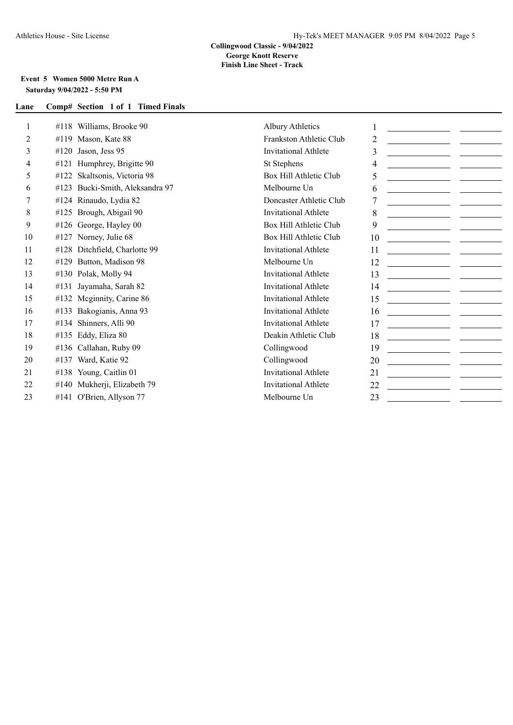### **Event 5 Women 5000 Metre Run A Saturday 9/04/2022 - 5:50 PM**

| 1  | #118 Williams, Brooke 90           | <b>Albury Athletics</b>     |    | <u> 1990 - John Harry Barn, mars and de Branch and de Branch and de Branch and de Branch and de Branch and de Bra</u> |  |
|----|------------------------------------|-----------------------------|----|-----------------------------------------------------------------------------------------------------------------------|--|
| 2  | Mason, Kate 88<br>#119             | Frankston Athletic Club     | 2  |                                                                                                                       |  |
| 3  | #120<br>Jason, Jess 95             | Invitational Athlete        | 3  | <u> 1980 - Johann John Stein, mars eta industrial eta industrial eta industrial eta industrial eta industrial et</u>  |  |
| 4  | Humphrey, Brigitte 90<br>#121      | St Stephens                 | 4  |                                                                                                                       |  |
| 5  | Skaltsonis, Victoria 98<br>#122    | Box Hill Athletic Club      | 5  | <u> 1980 - Andrea Aonaich an Chomhair Aonaich an t-</u>                                                               |  |
| 6  | Bucki-Smith, Aleksandra 97<br>#123 | Melbourne Un                | 6  |                                                                                                                       |  |
|    | #124 Rinaudo, Lydia 82             | Doncaster Athletic Club     |    |                                                                                                                       |  |
| 8  | Brough, Abigail 90<br>#125         | Invitational Athlete        | 8  | <u> 1990 - Johann Barbara, martxa al</u>                                                                              |  |
| 9  | #126 George, Hayley 00             | Box Hill Athletic Club      | 9  |                                                                                                                       |  |
| 10 | Norney, Julie 68<br>#127           | Box Hill Athletic Club      | 10 |                                                                                                                       |  |
| 11 | Ditchfield, Charlotte 99<br>#128   | <b>Invitational Athlete</b> | 11 |                                                                                                                       |  |
| 12 | Button, Madison 98<br>#129         | Melbourne Un                | 12 | <u> Alexandria (Carlos Alexandria)</u>                                                                                |  |
| 13 | Polak, Molly 94<br>#130            | Invitational Athlete        | 13 |                                                                                                                       |  |
| 14 | Jayamaha, Sarah 82<br>#131         | Invitational Athlete        | 14 |                                                                                                                       |  |
| 15 | Meginnity, Carine 86<br>#132       | <b>Invitational Athlete</b> | 15 |                                                                                                                       |  |
| 16 | Bakogianis, Anna 93<br>#133        | <b>Invitational Athlete</b> | 16 |                                                                                                                       |  |
| 17 | Shinners, Alli 90<br>#134          | <b>Invitational Athlete</b> | 17 | <u> Alexandria (Alexandria Alexandria)</u>                                                                            |  |
| 18 | Eddy, Eliza 80<br>#135             | Deakin Athletic Club        | 18 |                                                                                                                       |  |
| 19 | #136 Callahan, Ruby 09             | Collingwood                 | 19 |                                                                                                                       |  |
| 20 | Ward, Katie 92<br>#137             | Collingwood                 | 20 |                                                                                                                       |  |
| 21 | Young, Caitlin 01<br>#138          | <b>Invitational Athlete</b> | 21 | <u> 1990 - Johann Marie Barn, martin a</u>                                                                            |  |
| 22 | Mukherji, Elizabeth 79<br>#140     | <b>Invitational Athlete</b> | 22 |                                                                                                                       |  |
| 23 | #141 O'Brien, Allyson 77           | Melbourne Un                | 23 | <u> 1999 - Andrea Station Books, amerikansk politiker (d. 1989)</u>                                                   |  |